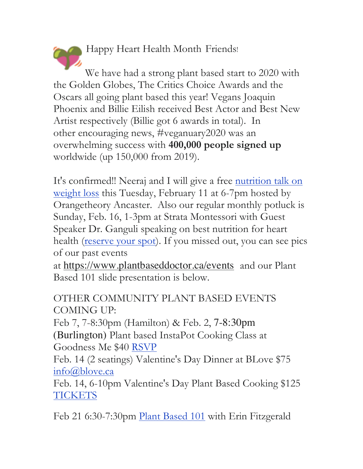Happy Heart Health Month Friends!

We have had a strong plant based start to 2020 with the Golden Globes, The Critics Choice Awards and the Oscars all going plant based this year! Vegans Joaquin Phoenix and Billie Eilish received Best Actor and Best New Artist respectively (Billie got 6 awards in total). In other encouraging news, #veganuary2020 was an overwhelming success with **400,000 people signed up** worldwide (up 150,000 from 2019).

It's confirmed!! Neeraj and I will give a free <u>nutrition</u> talk on weight loss this Tuesday, February 11 at 6-7pm hosted by Orangetheory Ancaster. Also our regular monthly potluck is Sunday, Feb. 16, 1-3pm at Strata Montessori with Guest Speaker Dr. Ganguli speaking on best nutrition for heart health (reserve your spot). If you missed out, you can see pics of our past events

at https://www.plantbaseddoctor.ca/events and our Plant Based 101 slide presentation is below.

OTHER COMMUNITY PLANT BASED EVENTS COMING UP:

Feb 7, 7-8:30pm (Hamilton) & Feb. 2, 7-8:30pm (Burlington) Plant based InstaPot Cooking Class at

Goodness Me \$40 RSVP Feb. 14 (2 seatings) Valentine's Day Dinner at BLove \$75 info@blove.ca

Feb. 14, 6-10pm Valentine's Day Plant Based Cooking \$125 **TICKETS** 

Feb 21 6:30-7:30pm Plant Based 101 with Erin Fitzgerald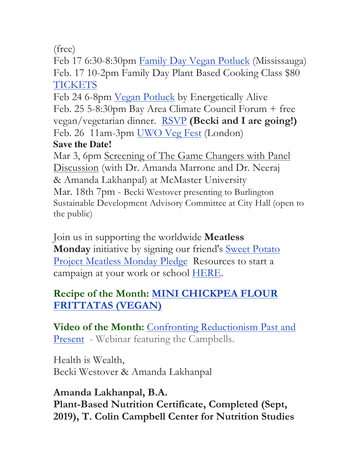(free)

Feb 17 6:30-8:30pm Family Day Vegan Potluck (Mississauga) Feb. 17 10-2pm Family Day Plant Based Cooking Class \$80 TICKETS

Feb 24 6-8pm Vegan Potluck by Energetically Alive Feb. 25 5-8:30pm Bay Area Climate Council Forum + free vegan/vegetarian dinner. RSVP **(Becki and I are going!)** Feb. 26 11am-3pm UWO Veg Fest (London)

## **Save the Date!**

Mar 3, 6pm Screening of The Game Changers with Panel Discussion (with Dr. Amanda Marrone and Dr. Neeraj & Amanda Lakhanpal) at McMaster University Mar. 18th 7pm - Becki Westover presenting to Burlington Sustainable Development Advisory Committee at City Hall (open to the public)

Join us in supporting the worldwide **Meatless Monday** initiative by signing our friend's Sweet Potato Project Meatless Monday Pledge Resources to start a campaign at your work or school HERE.

## **Recipe of the Month: MINI CHICKPEA FLOUR FRITTATAS (VEGAN)**

**Video of the Month:** Confronting Reductionism Past and Present - Webinar featuring the Campbells.

Health is Wealth, Becki Westover & Amanda Lakhanpal

**Amanda Lakhanpal, B.A. Plant-Based Nutrition Certificate, Completed (Sept, 2019), T. Colin Campbell Center for Nutrition Studies**